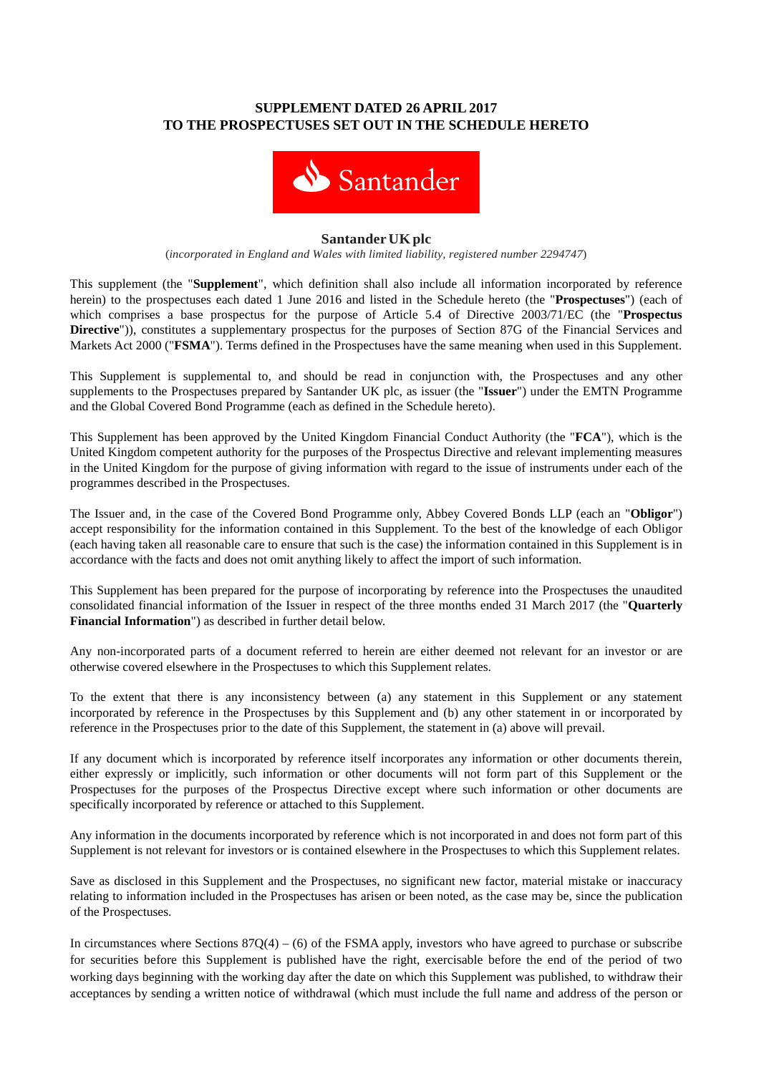# **SUPPLEMENT DATED 26 APRIL 2017 TO THE PROSPECTUSES SET OUT IN THE SCHEDULE HERETO**



#### **Santander UK plc**

(*incorporated in England and Wales with limited liability, registered number 2294747*)

This supplement (the "**Supplement**", which definition shall also include all information incorporated by reference herein) to the prospectuses each dated 1 June 2016 and listed in the Schedule hereto (the "**Prospectuses**") (each of which comprises a base prospectus for the purpose of Article 5.4 of Directive 2003/71/EC (the "**Prospectus Directive**")), constitutes a supplementary prospectus for the purposes of Section 87G of the Financial Services and Markets Act 2000 ("**FSMA**"). Terms defined in the Prospectuses have the same meaning when used in this Supplement.

This Supplement is supplemental to, and should be read in conjunction with, the Prospectuses and any other supplements to the Prospectuses prepared by Santander UK plc, as issuer (the "**Issuer**") under the EMTN Programme and the Global Covered Bond Programme (each as defined in the Schedule hereto).

This Supplement has been approved by the United Kingdom Financial Conduct Authority (the "**FCA**"), which is the United Kingdom competent authority for the purposes of the Prospectus Directive and relevant implementing measures in the United Kingdom for the purpose of giving information with regard to the issue of instruments under each of the programmes described in the Prospectuses.

The Issuer and, in the case of the Covered Bond Programme only, Abbey Covered Bonds LLP (each an "**Obligor**") accept responsibility for the information contained in this Supplement. To the best of the knowledge of each Obligor (each having taken all reasonable care to ensure that such is the case) the information contained in this Supplement is in accordance with the facts and does not omit anything likely to affect the import of such information.

This Supplement has been prepared for the purpose of incorporating by reference into the Prospectuses the unaudited consolidated financial information of the Issuer in respect of the three months ended 31 March 2017 (the "**Quarterly Financial Information**") as described in further detail below.

Any non-incorporated parts of a document referred to herein are either deemed not relevant for an investor or are otherwise covered elsewhere in the Prospectuses to which this Supplement relates.

To the extent that there is any inconsistency between (a) any statement in this Supplement or any statement incorporated by reference in the Prospectuses by this Supplement and (b) any other statement in or incorporated by reference in the Prospectuses prior to the date of this Supplement, the statement in (a) above will prevail.

If any document which is incorporated by reference itself incorporates any information or other documents therein, either expressly or implicitly, such information or other documents will not form part of this Supplement or the Prospectuses for the purposes of the Prospectus Directive except where such information or other documents are specifically incorporated by reference or attached to this Supplement.

Any information in the documents incorporated by reference which is not incorporated in and does not form part of this Supplement is not relevant for investors or is contained elsewhere in the Prospectuses to which this Supplement relates.

Save as disclosed in this Supplement and the Prospectuses, no significant new factor, material mistake or inaccuracy relating to information included in the Prospectuses has arisen or been noted, as the case may be, since the publication of the Prospectuses.

In circumstances where Sections  $87Q(4) - (6)$  of the FSMA apply, investors who have agreed to purchase or subscribe for securities before this Supplement is published have the right, exercisable before the end of the period of two working days beginning with the working day after the date on which this Supplement was published, to withdraw their acceptances by sending a written notice of withdrawal (which must include the full name and address of the person or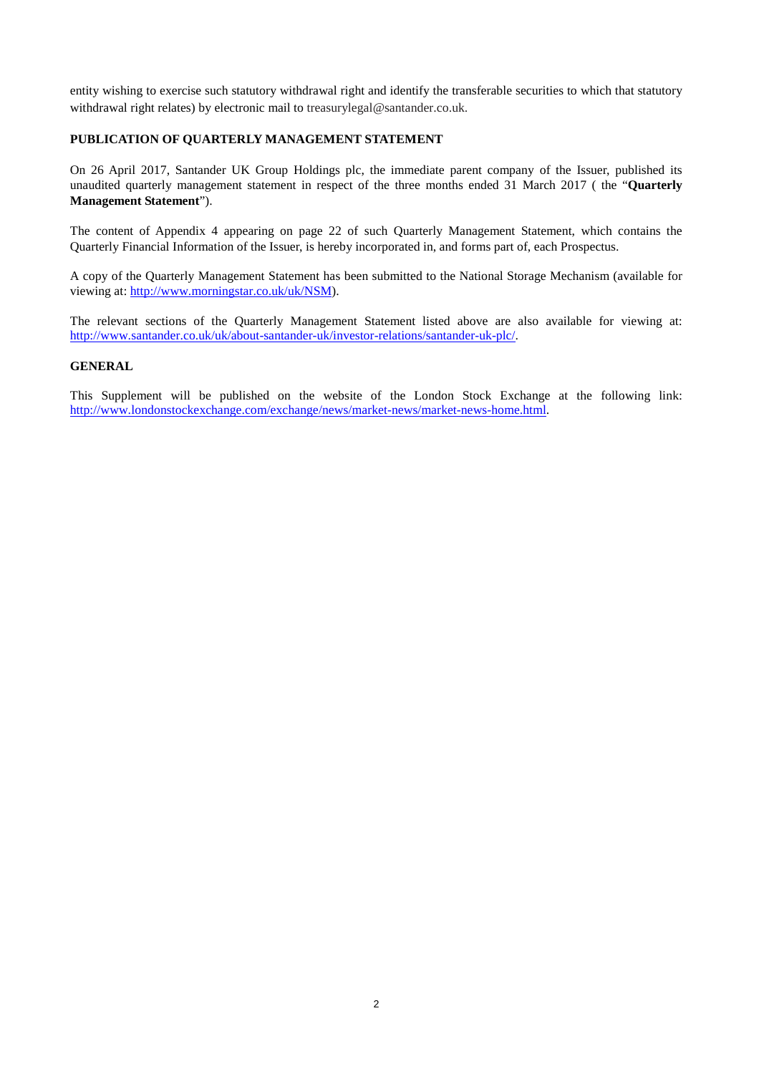entity wishing to exercise such statutory withdrawal right and identify the transferable securities to which that statutory withdrawal right relates) by electronic mail to treasurylegal@santander.co.uk.

## **PUBLICATION OF QUARTERLY MANAGEMENT STATEMENT**

On 26 April 2017, Santander UK Group Holdings plc, the immediate parent company of the Issuer, published its unaudited quarterly management statement in respect of the three months ended 31 March 2017 ( the "**Quarterly Management Statement**").

The content of Appendix 4 appearing on page 22 of such Quarterly Management Statement, which contains the Quarterly Financial Information of the Issuer, is hereby incorporated in, and forms part of, each Prospectus.

A copy of the Quarterly Management Statement has been submitted to the National Storage Mechanism (available for viewing at: http://www.morningstar.co.uk/uk/NSM).

The relevant sections of the Quarterly Management Statement listed above are also available for viewing at: http://www.santander.co.uk/uk/about-santander-uk/investor-relations/santander-uk-plc/.

### **GENERAL**

This Supplement will be published on the website of the London Stock Exchange at the following link: http://www.londonstockexchange.com/exchange/news/market-news/market-news-home.html.